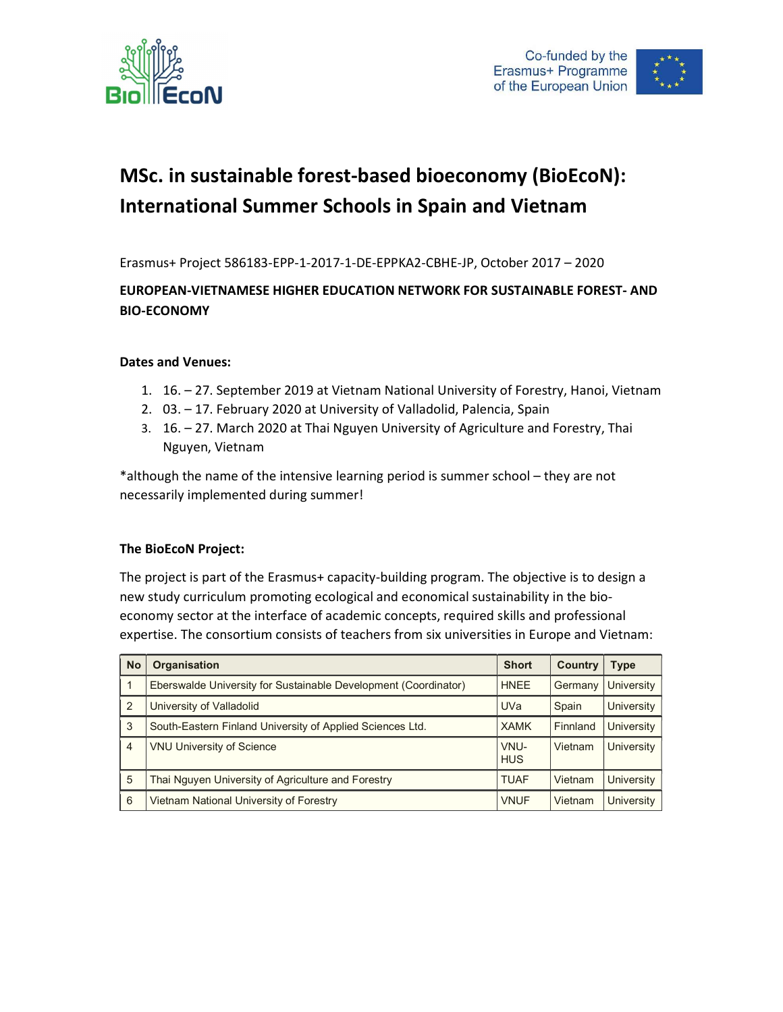



# MSc. in sustainable forest-based bioeconomy (BioEcoN): International Summer Schools in Spain and Vietnam

Erasmus+ Project 586183-EPP-1-2017-1-DE-EPPKA2-CBHE-JP, October 2017 – 2020

## EUROPEAN-VIETNAMESE HIGHER EDUCATION NETWORK FOR SUSTAINABLE FOREST- AND BIO-ECONOMY

### Dates and Venues:

- 1. 16. 27. September 2019 at Vietnam National University of Forestry, Hanoi, Vietnam
- 2. 03. 17. February 2020 at University of Valladolid, Palencia, Spain
- 3. 16. 27. March 2020 at Thai Nguyen University of Agriculture and Forestry, Thai Nguyen, Vietnam

\*although the name of the intensive learning period is summer school – they are not necessarily implemented during summer!

### The BioEcoN Project:

The project is part of the Erasmus+ capacity-building program. The objective is to design a new study curriculum promoting ecological and economical sustainability in the bioeconomy sector at the interface of academic concepts, required skills and professional expertise. The consortium consists of teachers from six universities in Europe and Vietnam:

| <b>No</b>      | <b>Organisation</b>                                             | <b>Short</b>       | <b>Country</b> | Type              |
|----------------|-----------------------------------------------------------------|--------------------|----------------|-------------------|
| 1              | Eberswalde University for Sustainable Development (Coordinator) | <b>HNEE</b>        | Germany        | University        |
| 2              | University of Valladolid                                        | <b>UVa</b>         | Spain          | University        |
| 3              | South-Eastern Finland University of Applied Sciences Ltd.       | <b>XAMK</b>        | Finnland       | University        |
| $\overline{4}$ | <b>VNU University of Science</b>                                | VNU-<br><b>HUS</b> | Vietnam        | <b>University</b> |
| 5              | Thai Nguyen University of Agriculture and Forestry              | <b>TUAF</b>        | Vietnam        | University        |
| 6              | Vietnam National University of Forestry                         | <b>VNUF</b>        | Vietnam        | <b>University</b> |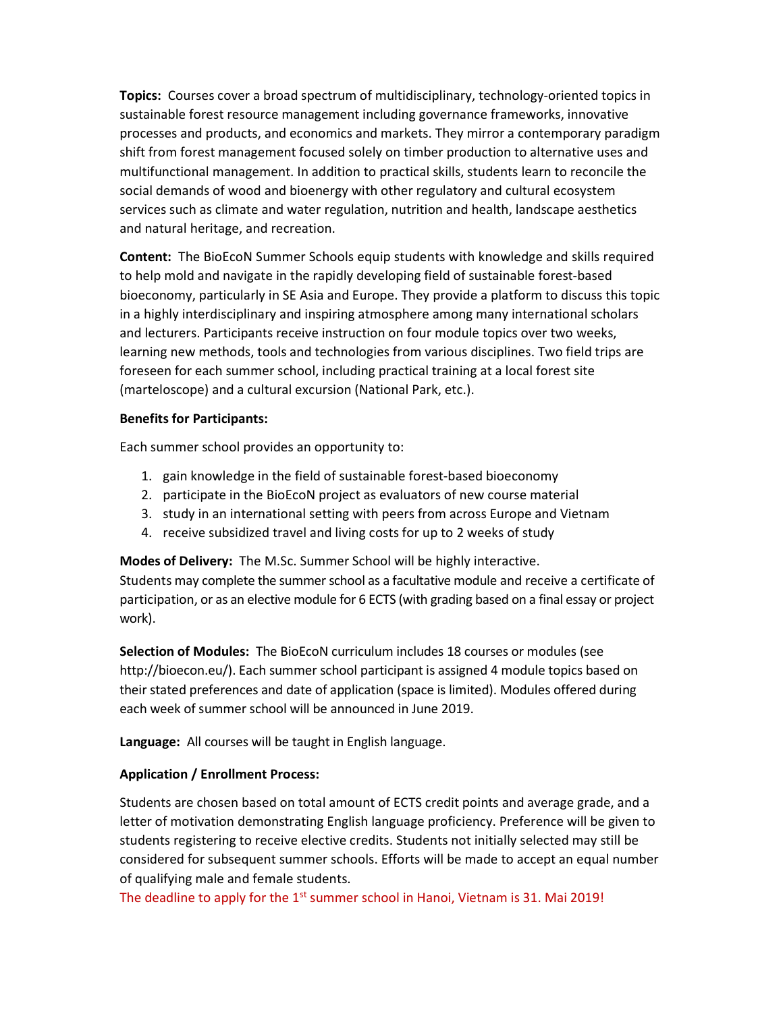Topics: Courses cover a broad spectrum of multidisciplinary, technology-oriented topics in sustainable forest resource management including governance frameworks, innovative processes and products, and economics and markets. They mirror a contemporary paradigm shift from forest management focused solely on timber production to alternative uses and multifunctional management. In addition to practical skills, students learn to reconcile the social demands of wood and bioenergy with other regulatory and cultural ecosystem services such as climate and water regulation, nutrition and health, landscape aesthetics and natural heritage, and recreation.

Content: The BioEcoN Summer Schools equip students with knowledge and skills required to help mold and navigate in the rapidly developing field of sustainable forest-based bioeconomy, particularly in SE Asia and Europe. They provide a platform to discuss this topic in a highly interdisciplinary and inspiring atmosphere among many international scholars and lecturers. Participants receive instruction on four module topics over two weeks, learning new methods, tools and technologies from various disciplines. Two field trips are foreseen for each summer school, including practical training at a local forest site (marteloscope) and a cultural excursion (National Park, etc.).

#### Benefits for Participants:

Each summer school provides an opportunity to:

- 1. gain knowledge in the field of sustainable forest-based bioeconomy
- 2. participate in the BioEcoN project as evaluators of new course material
- 3. study in an international setting with peers from across Europe and Vietnam
- 4. receive subsidized travel and living costs for up to 2 weeks of study

Modes of Delivery: The M.Sc. Summer School will be highly interactive.

Students may complete the summer school as a facultative module and receive a certificate of participation, or as an elective module for 6 ECTS (with grading based on a final essay or project work).

Selection of Modules: The BioEcoN curriculum includes 18 courses or modules (see http://bioecon.eu/). Each summer school participant is assigned 4 module topics based on their stated preferences and date of application (space is limited). Modules offered during each week of summer school will be announced in June 2019.

Language: All courses will be taught in English language.

### Application / Enrollment Process:

Students are chosen based on total amount of ECTS credit points and average grade, and a letter of motivation demonstrating English language proficiency. Preference will be given to students registering to receive elective credits. Students not initially selected may still be considered for subsequent summer schools. Efforts will be made to accept an equal number of qualifying male and female students.

The deadline to apply for the 1<sup>st</sup> summer school in Hanoi, Vietnam is 31. Mai 2019!